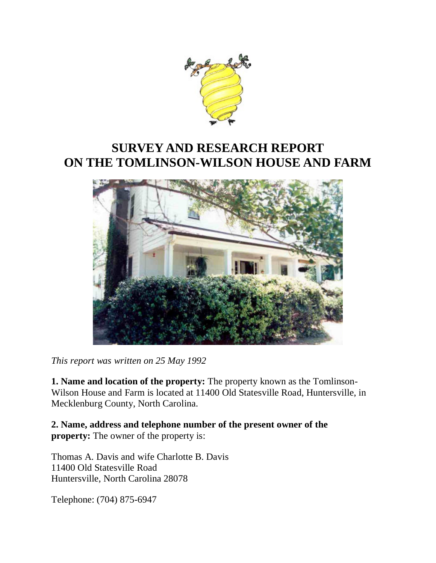

# **SURVEY AND RESEARCH REPORT ON THE TOMLINSON-WILSON HOUSE AND FARM**



*This report was written on 25 May 1992*

**1. Name and location of the property:** The property known as the Tomlinson-Wilson House and Farm is located at 11400 Old Statesville Road, Huntersville, in Mecklenburg County, North Carolina.

**2. Name, address and telephone number of the present owner of the property:** The owner of the property is:

Thomas A. Davis and wife Charlotte B. Davis 11400 Old Statesville Road Huntersville, North Carolina 28078

Telephone: (704) 875-6947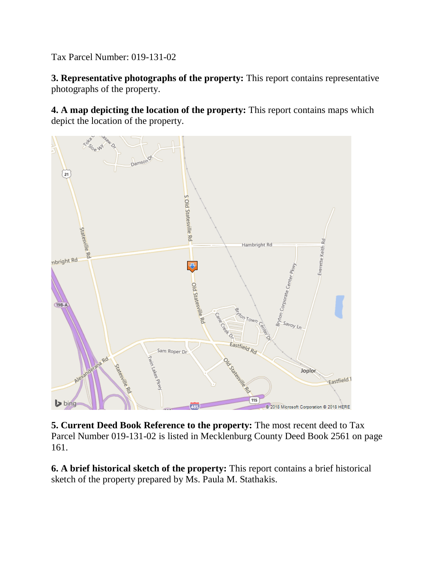Tax Parcel Number: 019-131-02

**3. Representative photographs of the property:** This report contains representative photographs of the property.

**4. A map depicting the location of the property:** This report contains maps which depict the location of the property.



**5. Current Deed Book Reference to the property:** The most recent deed to Tax Parcel Number 019-131-02 is listed in Mecklenburg County Deed Book 2561 on page 161.

**6. A brief historical sketch of the property:** This report contains a brief historical sketch of the property prepared by Ms. Paula M. Stathakis.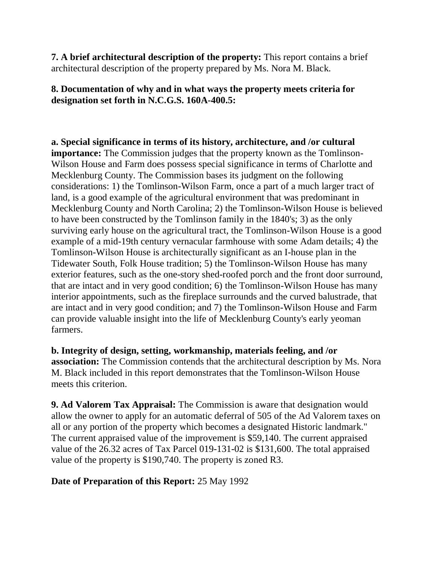**7. A brief architectural description of the property:** This report contains a brief architectural description of the property prepared by Ms. Nora M. Black.

### **8. Documentation of why and in what ways the property meets criteria for designation set forth in N.C.G.S. 160A-400.5:**

**a. Special significance in terms of its history, architecture, and /or cultural importance:** The Commission judges that the property known as the Tomlinson-Wilson House and Farm does possess special significance in terms of Charlotte and Mecklenburg County. The Commission bases its judgment on the following considerations: 1) the Tomlinson-Wilson Farm, once a part of a much larger tract of land, is a good example of the agricultural environment that was predominant in Mecklenburg County and North Carolina; 2) the Tomlinson-Wilson House is believed to have been constructed by the Tomlinson family in the 1840's; 3) as the only surviving early house on the agricultural tract, the Tomlinson-Wilson House is a good example of a mid-19th century vernacular farmhouse with some Adam details; 4) the Tomlinson-Wilson House is architecturally significant as an I-house plan in the Tidewater South, Folk House tradition; 5) the Tomlinson-Wilson House has many exterior features, such as the one-story shed-roofed porch and the front door surround, that are intact and in very good condition; 6) the Tomlinson-Wilson House has many interior appointments, such as the fireplace surrounds and the curved balustrade, that are intact and in very good condition; and 7) the Tomlinson-Wilson House and Farm can provide valuable insight into the life of Mecklenburg County's early yeoman farmers.

**b. Integrity of design, setting, workmanship, materials feeling, and /or association:** The Commission contends that the architectural description by Ms. Nora M. Black included in this report demonstrates that the Tomlinson-Wilson House meets this criterion.

**9. Ad Valorem Tax Appraisal:** The Commission is aware that designation would allow the owner to apply for an automatic deferral of 505 of the Ad Valorem taxes on all or any portion of the property which becomes a designated Historic landmark." The current appraised value of the improvement is \$59,140. The current appraised value of the 26.32 acres of Tax Parcel 019-131-02 is \$131,600. The total appraised value of the property is \$190,740. The property is zoned R3.

# **Date of Preparation of this Report:** 25 May 1992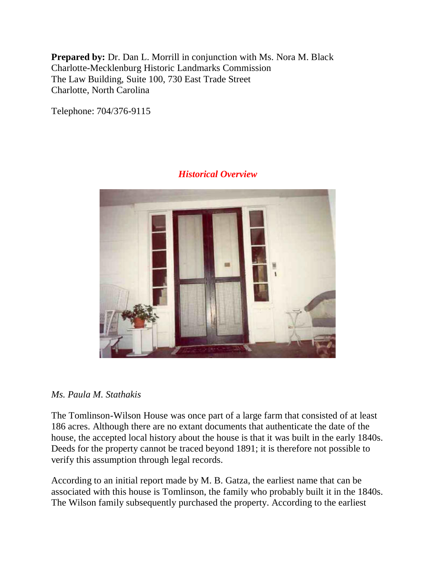**Prepared by:** Dr. Dan L. Morrill in conjunction with Ms. Nora M. Black Charlotte-Mecklenburg Historic Landmarks Commission The Law Building, Suite 100, 730 East Trade Street Charlotte, North Carolina

Telephone: 704/376-9115



# *Historical Overview*

#### *Ms. Paula M. Stathakis*

The Tomlinson-Wilson House was once part of a large farm that consisted of at least 186 acres. Although there are no extant documents that authenticate the date of the house, the accepted local history about the house is that it was built in the early 1840s. Deeds for the property cannot be traced beyond 1891; it is therefore not possible to verify this assumption through legal records.

According to an initial report made by M. B. Gatza, the earliest name that can be associated with this house is Tomlinson, the family who probably built it in the 1840s. The Wilson family subsequently purchased the property. According to the earliest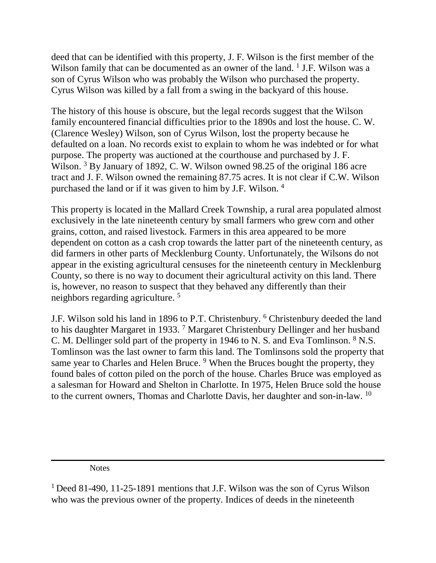deed that can be identified with this property, J. F. Wilson is the first member of the Wilson family that can be documented as an owner of the land. <sup>1</sup> J.F. Wilson was a son of Cyrus Wilson who was probably the Wilson who purchased the property. Cyrus Wilson was killed by a fall from a swing in the backyard of this house.

The history of this house is obscure, but the legal records suggest that the Wilson family encountered financial difficulties prior to the 1890s and lost the house. C. W. (Clarence Wesley) Wilson, son of Cyrus Wilson, lost the property because he defaulted on a loan. No records exist to explain to whom he was indebted or for what purpose. The property was auctioned at the courthouse and purchased by J. F. Wilson.<sup>3</sup> By January of 1892, C. W. Wilson owned 98.25 of the original 186 acre tract and J. F. Wilson owned the remaining 87.75 acres. It is not clear if C.W. Wilson purchased the land or if it was given to him by J.F. Wilson. <sup>4</sup>

This property is located in the Mallard Creek Township, a rural area populated almost exclusively in the late nineteenth century by small farmers who grew corn and other grains, cotton, and raised livestock. Farmers in this area appeared to be more dependent on cotton as a cash crop towards the latter part of the nineteenth century, as did farmers in other parts of Mecklenburg County. Unfortunately, the Wilsons do not appear in the existing agricultural censuses for the nineteenth century in Mecklenburg County, so there is no way to document their agricultural activity on this land. There is, however, no reason to suspect that they behaved any differently than their neighbors regarding agriculture. <sup>5</sup>

J.F. Wilson sold his land in 1896 to P.T. Christenbury. <sup>6</sup> Christenbury deeded the land to his daughter Margaret in 1933. <sup>7</sup> Margaret Christenbury Dellinger and her husband C. M. Dellinger sold part of the property in 1946 to N. S. and Eva Tomlinson. <sup>8</sup> N.S. Tomlinson was the last owner to farm this land. The Tomlinsons sold the property that same year to Charles and Helen Bruce. <sup>9</sup> When the Bruces bought the property, they found bales of cotton piled on the porch of the house. Charles Bruce was employed as a salesman for Howard and Shelton in Charlotte. In 1975, Helen Bruce sold the house to the current owners, Thomas and Charlotte Davis, her daughter and son-in-law. <sup>10</sup>

**Notes** 

<sup>&</sup>lt;sup>1</sup> Deed 81-490, 11-25-1891 mentions that J.F. Wilson was the son of Cyrus Wilson who was the previous owner of the property. Indices of deeds in the nineteenth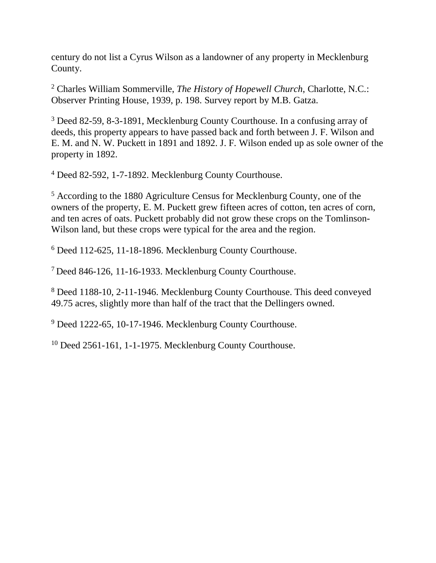century do not list a Cyrus Wilson as a landowner of any property in Mecklenburg County.

<sup>2</sup> Charles William Sommerville, *The History of Hopewell Church*, Charlotte, N.C.: Observer Printing House, 1939, p. 198. Survey report by M.B. Gatza.

<sup>3</sup> Deed 82-59, 8-3-1891, Mecklenburg County Courthouse. In a confusing array of deeds, this property appears to have passed back and forth between J. F. Wilson and E. M. and N. W. Puckett in 1891 and 1892. J. F. Wilson ended up as sole owner of the property in 1892.

<sup>4</sup> Deed 82-592, 1-7-1892. Mecklenburg County Courthouse.

<sup>5</sup> According to the 1880 Agriculture Census for Mecklenburg County, one of the owners of the property, E. M. Puckett grew fifteen acres of cotton, ten acres of corn, and ten acres of oats. Puckett probably did not grow these crops on the Tomlinson-Wilson land, but these crops were typical for the area and the region.

<sup>6</sup> Deed 112-625, 11-18-1896. Mecklenburg County Courthouse.

<sup>7</sup> Deed 846-126, 11-16-1933. Mecklenburg County Courthouse.

<sup>8</sup> Deed 1188-10, 2-11-1946. Mecklenburg County Courthouse. This deed conveyed 49.75 acres, slightly more than half of the tract that the Dellingers owned.

<sup>9</sup> Deed 1222-65, 10-17-1946. Mecklenburg County Courthouse.

<sup>10</sup> Deed 2561-161, 1-1-1975. Mecklenburg County Courthouse.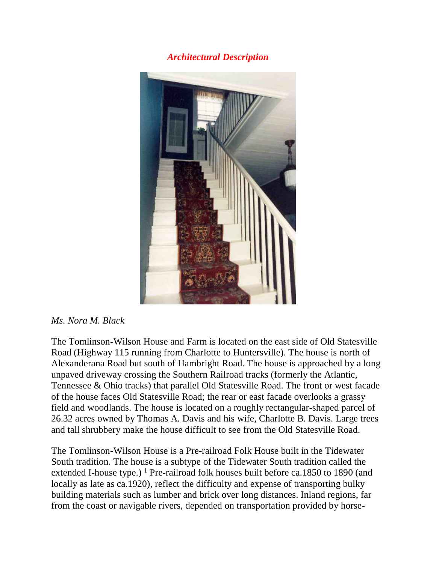#### *Architectural Description*



#### *Ms. Nora M. Black*

The Tomlinson-Wilson House and Farm is located on the east side of Old Statesville Road (Highway 115 running from Charlotte to Huntersville). The house is north of Alexanderana Road but south of Hambright Road. The house is approached by a long unpaved driveway crossing the Southern Railroad tracks (formerly the Atlantic, Tennessee & Ohio tracks) that parallel Old Statesville Road. The front or west facade of the house faces Old Statesville Road; the rear or east facade overlooks a grassy field and woodlands. The house is located on a roughly rectangular-shaped parcel of 26.32 acres owned by Thomas A. Davis and his wife, Charlotte B. Davis. Large trees and tall shrubbery make the house difficult to see from the Old Statesville Road.

The Tomlinson-Wilson House is a Pre-railroad Folk House built in the Tidewater South tradition. The house is a subtype of the Tidewater South tradition called the extended I-house type.) <sup>1</sup> Pre-railroad folk houses built before ca.1850 to 1890 (and locally as late as ca.1920), reflect the difficulty and expense of transporting bulky building materials such as lumber and brick over long distances. Inland regions, far from the coast or navigable rivers, depended on transportation provided by horse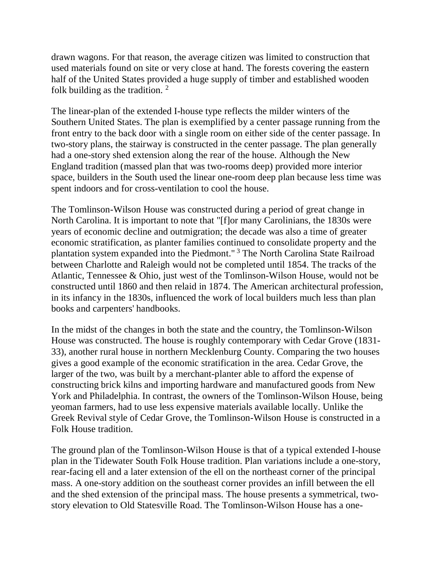drawn wagons. For that reason, the average citizen was limited to construction that used materials found on site or very close at hand. The forests covering the eastern half of the United States provided a huge supply of timber and established wooden folk building as the tradition. 2

The linear-plan of the extended I-house type reflects the milder winters of the Southern United States. The plan is exemplified by a center passage running from the front entry to the back door with a single room on either side of the center passage. In two-story plans, the stairway is constructed in the center passage. The plan generally had a one-story shed extension along the rear of the house. Although the New England tradition (massed plan that was two-rooms deep) provided more interior space, builders in the South used the linear one-room deep plan because less time was spent indoors and for cross-ventilation to cool the house.

The Tomlinson-Wilson House was constructed during a period of great change in North Carolina. It is important to note that "[f]or many Carolinians, the 1830s were years of economic decline and outmigration; the decade was also a time of greater economic stratification, as planter families continued to consolidate property and the plantation system expanded into the Piedmont." 3 The North Carolina State Railroad between Charlotte and Raleigh would not be completed until 1854. The tracks of the Atlantic, Tennessee & Ohio, just west of the Tomlinson-Wilson House, would not be constructed until 1860 and then relaid in 1874. The American architectural profession, in its infancy in the 1830s, influenced the work of local builders much less than plan books and carpenters' handbooks.

In the midst of the changes in both the state and the country, the Tomlinson-Wilson House was constructed. The house is roughly contemporary with Cedar Grove (1831- 33), another rural house in northern Mecklenburg County. Comparing the two houses gives a good example of the economic stratification in the area. Cedar Grove, the larger of the two, was built by a merchant-planter able to afford the expense of constructing brick kilns and importing hardware and manufactured goods from New York and Philadelphia. In contrast, the owners of the Tomlinson-Wilson House, being yeoman farmers, had to use less expensive materials available locally. Unlike the Greek Revival style of Cedar Grove, the Tomlinson-Wilson House is constructed in a Folk House tradition.

The ground plan of the Tomlinson-Wilson House is that of a typical extended I-house plan in the Tidewater South Folk House tradition. Plan variations include a one-story, rear-facing ell and a later extension of the ell on the northeast corner of the principal mass. A one-story addition on the southeast corner provides an infill between the ell and the shed extension of the principal mass. The house presents a symmetrical, twostory elevation to Old Statesville Road. The Tomlinson-Wilson House has a one-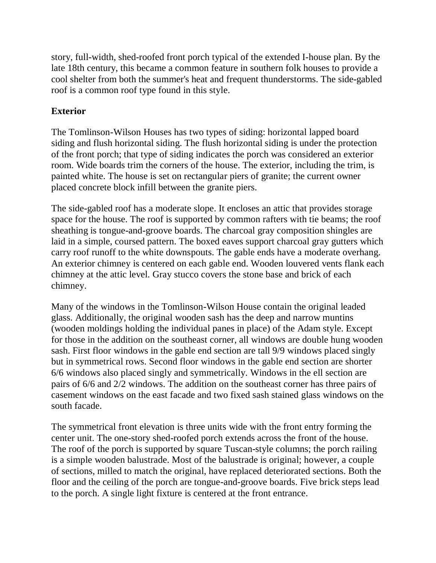story, full-width, shed-roofed front porch typical of the extended I-house plan. By the late 18th century, this became a common feature in southern folk houses to provide a cool shelter from both the summer's heat and frequent thunderstorms. The side-gabled roof is a common roof type found in this style.

# **Exterior**

The Tomlinson-Wilson Houses has two types of siding: horizontal lapped board siding and flush horizontal siding. The flush horizontal siding is under the protection of the front porch; that type of siding indicates the porch was considered an exterior room. Wide boards trim the corners of the house. The exterior, including the trim, is painted white. The house is set on rectangular piers of granite; the current owner placed concrete block infill between the granite piers.

The side-gabled roof has a moderate slope. It encloses an attic that provides storage space for the house. The roof is supported by common rafters with tie beams; the roof sheathing is tongue-and-groove boards. The charcoal gray composition shingles are laid in a simple, coursed pattern. The boxed eaves support charcoal gray gutters which carry roof runoff to the white downspouts. The gable ends have a moderate overhang. An exterior chimney is centered on each gable end. Wooden louvered vents flank each chimney at the attic level. Gray stucco covers the stone base and brick of each chimney.

Many of the windows in the Tomlinson-Wilson House contain the original leaded glass. Additionally, the original wooden sash has the deep and narrow muntins (wooden moldings holding the individual panes in place) of the Adam style. Except for those in the addition on the southeast corner, all windows are double hung wooden sash. First floor windows in the gable end section are tall 9/9 windows placed singly but in symmetrical rows. Second floor windows in the gable end section are shorter 6/6 windows also placed singly and symmetrically. Windows in the ell section are pairs of 6/6 and 2/2 windows. The addition on the southeast corner has three pairs of casement windows on the east facade and two fixed sash stained glass windows on the south facade.

The symmetrical front elevation is three units wide with the front entry forming the center unit. The one-story shed-roofed porch extends across the front of the house. The roof of the porch is supported by square Tuscan-style columns; the porch railing is a simple wooden balustrade. Most of the balustrade is original; however, a couple of sections, milled to match the original, have replaced deteriorated sections. Both the floor and the ceiling of the porch are tongue-and-groove boards. Five brick steps lead to the porch. A single light fixture is centered at the front entrance.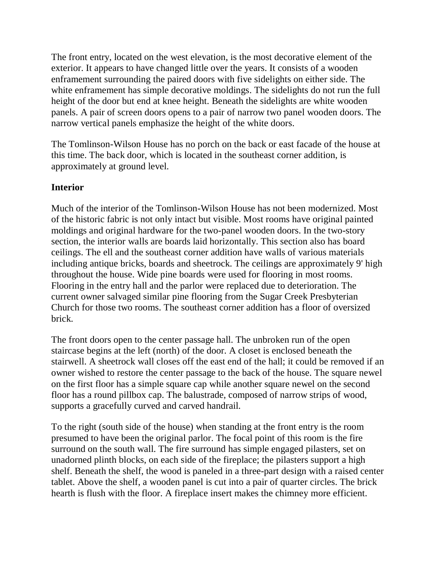The front entry, located on the west elevation, is the most decorative element of the exterior. It appears to have changed little over the years. It consists of a wooden enframement surrounding the paired doors with five sidelights on either side. The white enframement has simple decorative moldings. The sidelights do not run the full height of the door but end at knee height. Beneath the sidelights are white wooden panels. A pair of screen doors opens to a pair of narrow two panel wooden doors. The narrow vertical panels emphasize the height of the white doors.

The Tomlinson-Wilson House has no porch on the back or east facade of the house at this time. The back door, which is located in the southeast corner addition, is approximately at ground level.

# **Interior**

Much of the interior of the Tomlinson-Wilson House has not been modernized. Most of the historic fabric is not only intact but visible. Most rooms have original painted moldings and original hardware for the two-panel wooden doors. In the two-story section, the interior walls are boards laid horizontally. This section also has board ceilings. The ell and the southeast corner addition have walls of various materials including antique bricks, boards and sheetrock. The ceilings are approximately 9' high throughout the house. Wide pine boards were used for flooring in most rooms. Flooring in the entry hall and the parlor were replaced due to deterioration. The current owner salvaged similar pine flooring from the Sugar Creek Presbyterian Church for those two rooms. The southeast corner addition has a floor of oversized brick.

The front doors open to the center passage hall. The unbroken run of the open staircase begins at the left (north) of the door. A closet is enclosed beneath the stairwell. A sheetrock wall closes off the east end of the hall; it could be removed if an owner wished to restore the center passage to the back of the house. The square newel on the first floor has a simple square cap while another square newel on the second floor has a round pillbox cap. The balustrade, composed of narrow strips of wood, supports a gracefully curved and carved handrail.

To the right (south side of the house) when standing at the front entry is the room presumed to have been the original parlor. The focal point of this room is the fire surround on the south wall. The fire surround has simple engaged pilasters, set on unadorned plinth blocks, on each side of the fireplace; the pilasters support a high shelf. Beneath the shelf, the wood is paneled in a three-part design with a raised center tablet. Above the shelf, a wooden panel is cut into a pair of quarter circles. The brick hearth is flush with the floor. A fireplace insert makes the chimney more efficient.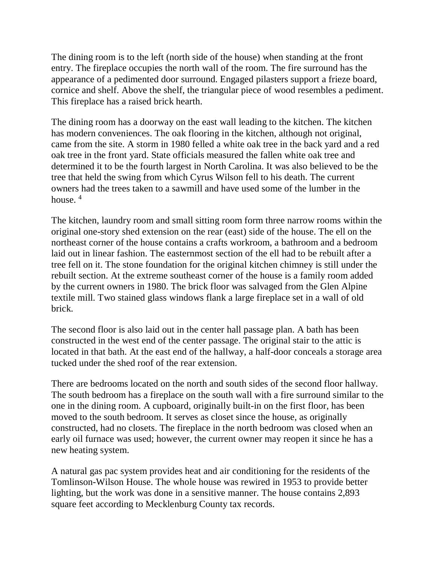The dining room is to the left (north side of the house) when standing at the front entry. The fireplace occupies the north wall of the room. The fire surround has the appearance of a pedimented door surround. Engaged pilasters support a frieze board, cornice and shelf. Above the shelf, the triangular piece of wood resembles a pediment. This fireplace has a raised brick hearth.

The dining room has a doorway on the east wall leading to the kitchen. The kitchen has modern conveniences. The oak flooring in the kitchen, although not original, came from the site. A storm in 1980 felled a white oak tree in the back yard and a red oak tree in the front yard. State officials measured the fallen white oak tree and determined it to be the fourth largest in North Carolina. It was also believed to be the tree that held the swing from which Cyrus Wilson fell to his death. The current owners had the trees taken to a sawmill and have used some of the lumber in the house.  $4$ 

The kitchen, laundry room and small sitting room form three narrow rooms within the original one-story shed extension on the rear (east) side of the house. The ell on the northeast corner of the house contains a crafts workroom, a bathroom and a bedroom laid out in linear fashion. The easternmost section of the ell had to be rebuilt after a tree fell on it. The stone foundation for the original kitchen chimney is still under the rebuilt section. At the extreme southeast corner of the house is a family room added by the current owners in 1980. The brick floor was salvaged from the Glen Alpine textile mill. Two stained glass windows flank a large fireplace set in a wall of old brick.

The second floor is also laid out in the center hall passage plan. A bath has been constructed in the west end of the center passage. The original stair to the attic is located in that bath. At the east end of the hallway, a half-door conceals a storage area tucked under the shed roof of the rear extension.

There are bedrooms located on the north and south sides of the second floor hallway. The south bedroom has a fireplace on the south wall with a fire surround similar to the one in the dining room. A cupboard, originally built-in on the first floor, has been moved to the south bedroom. It serves as closet since the house, as originally constructed, had no closets. The fireplace in the north bedroom was closed when an early oil furnace was used; however, the current owner may reopen it since he has a new heating system.

A natural gas pac system provides heat and air conditioning for the residents of the Tomlinson-Wilson House. The whole house was rewired in 1953 to provide better lighting, but the work was done in a sensitive manner. The house contains 2,893 square feet according to Mecklenburg County tax records.